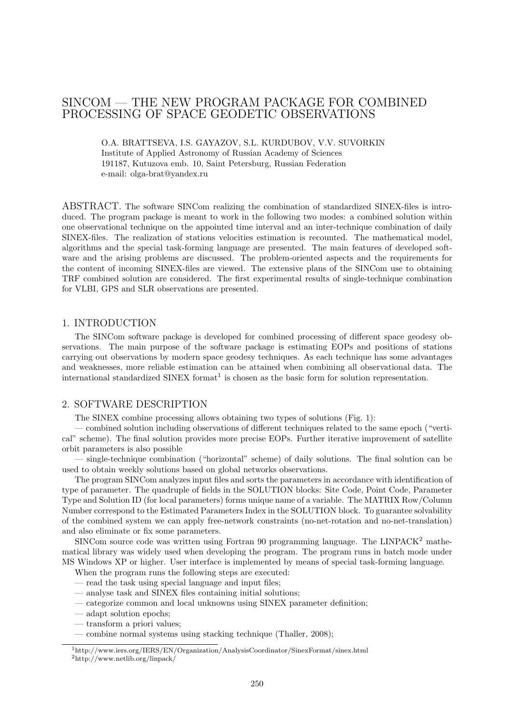# SINCOM — THE NEW PROGRAM PACKAGE FOR COMBINED PROCESSING OF SPACE GEODETIC OBSERVATIONS

O.A. BRATTSEVA, I.S. GAYAZOV, S.L. KURDUBOV, V.V. SUVORKIN Institute of Applied Astronomy of Russian Academy of Sciences 191187, Kutuzova emb. 10, Saint Petersburg, Russian Federation e-mail: olga-brat@yandex.ru

ABSTRACT. The software SINCom realizing the combination of standardized SINEX-files is introduced. The program package is meant to work in the following two modes: a combined solution within one observational technique on the appointed time interval and an inter-technique combination of daily SINEX-files. The realization of stations velocities estimation is recounted. The mathematical model, algorithms and the special task-forming language are presented. The main features of developed software and the arising problems are discussed. The problem-oriented aspects and the requirements for the content of incoming SINEX-files are viewed. The extensive plans of the SINCom use to obtaining TRF combined solution are considered. The first experimental results of single-technique combination for VLBI, GPS and SLR observations are presented.

#### 1. INTRODUCTION

The SINCom software package is developed for combined processing of different space geodesy observations. The main purpose of the software package is estimating EOPs and positions of stations carrying out observations by modern space geodesy techniques. As each technique has some advantages and weaknesses, more reliable estimation can be attained when combining all observational data. The international standardized SINEX format<sup>1</sup> is chosen as the basic form for solution representation.

## 2. SOFTWARE DESCRIPTION

The SINEX combine processing allows obtaining two types of solutions (Fig. 1):

— combined solution including observations of different techniques related to the same epoch ("vertical" scheme). The final solution provides more precise EOPs. Further iterative improvement of satellite orbit parameters is also possible

— single-technique combination ("horizontal" scheme) of daily solutions. The final solution can be used to obtain weekly solutions based on global networks observations.

The program SINCom analyzes input files and sorts the parameters in accordance with identification of type of parameter. The quadruple of fields in the SOLUTION blocks: Site Code, Point Code, Parameter Type and Solution ID (for local parameters) forms unique name of a variable. The MATRIX Row/Column Number correspond to the Estimated Parameters Index in the SOLUTION block. To guarantee solvability of the combined system we can apply free-network constraints (no-net-rotation and no-net-translation) and also eliminate or fix some parameters.

 $SINCom$  source code was written using Fortran 90 programming language. The LINPACK<sup>2</sup> mathematical library was widely used when developing the program. The program runs in batch mode under MS Windows XP or higher. User interface is implemented by means of special task-forming language.

- When the program runs the following steps are executed:
- read the task using special language and input files;
- analyse task and SINEX files containing initial solutions;
- categorize common and local unknowns using SINEX parameter definition;
- adapt solution epochs;
- transform a priori values;
- combine normal systems using stacking technique (Thaller, 2008);

<sup>1</sup>http://www.iers.org/IERS/EN/Organization/AnalysisCoordinator/SinexFormat/sinex.html <sup>2</sup>http://www.netlib.org/linpack/